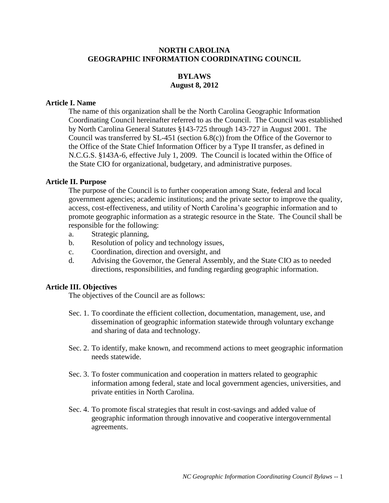# **NORTH CAROLINA GEOGRAPHIC INFORMATION COORDINATING COUNCIL**

# **BYLAWS August 8, 2012**

#### **Article I. Name**

The name of this organization shall be the North Carolina Geographic Information Coordinating Council hereinafter referred to as the Council. The Council was established by North Carolina General Statutes §143-725 through 143-727 in August 2001. The Council was transferred by SL-451 (section 6.8(c)) from the Office of the Governor to the Office of the State Chief Information Officer by a Type II transfer, as defined in N.C.G.S. §143A-6, effective July 1, 2009. The Council is located within the Office of the State CIO for organizational, budgetary, and administrative purposes.

#### **Article II. Purpose**

The purpose of the Council is to further cooperation among State, federal and local government agencies; academic institutions; and the private sector to improve the quality, access, cost-effectiveness, and utility of North Carolina's geographic information and to promote geographic information as a strategic resource in the State. The Council shall be responsible for the following:

- a. Strategic planning,
- b. Resolution of policy and technology issues,
- c. Coordination, direction and oversight, and
- d. Advising the Governor, the General Assembly, and the State CIO as to needed directions, responsibilities, and funding regarding geographic information.

#### **Article III. Objectives**

The objectives of the Council are as follows:

- Sec. 1. To coordinate the efficient collection, documentation, management, use, and dissemination of geographic information statewide through voluntary exchange and sharing of data and technology.
- Sec. 2. To identify, make known, and recommend actions to meet geographic information needs statewide.
- Sec. 3. To foster communication and cooperation in matters related to geographic information among federal, state and local government agencies, universities, and private entities in North Carolina.
- Sec. 4. To promote fiscal strategies that result in cost-savings and added value of geographic information through innovative and cooperative intergovernmental agreements.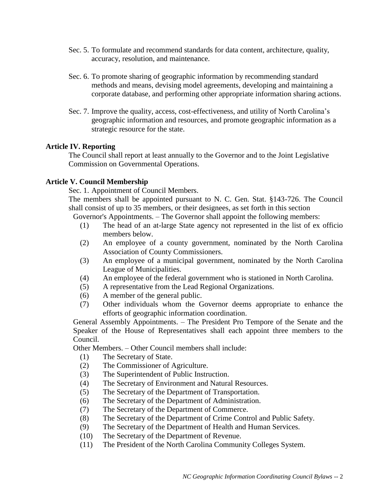- Sec. 5. To formulate and recommend standards for data content, architecture, quality, accuracy, resolution, and maintenance.
- Sec. 6. To promote sharing of geographic information by recommending standard methods and means, devising model agreements, developing and maintaining a corporate database, and performing other appropriate information sharing actions.
- Sec. 7. Improve the quality, access, cost-effectiveness, and utility of North Carolina's geographic information and resources, and promote geographic information as a strategic resource for the state.

# **Article IV. Reporting**

The Council shall report at least annually to the Governor and to the Joint Legislative Commission on Governmental Operations.

# **Article V. Council Membership**

Sec. 1. Appointment of Council Members.

The members shall be appointed pursuant to N. C. Gen. Stat. §143-726. The Council shall consist of up to 35 members, or their designees, as set forth in this section

Governor's Appointments. – The Governor shall appoint the following members:

- (1) The head of an at-large State agency not represented in the list of ex officio members below.
- (2) An employee of a county government, nominated by the North Carolina Association of County Commissioners.
- (3) An employee of a municipal government, nominated by the North Carolina League of Municipalities.
- (4) An employee of the federal government who is stationed in North Carolina.
- (5) A representative from the Lead Regional Organizations.
- (6) A member of the general public.
- (7) Other individuals whom the Governor deems appropriate to enhance the efforts of geographic information coordination.

General Assembly Appointments. – The President Pro Tempore of the Senate and the Speaker of the House of Representatives shall each appoint three members to the Council.

Other Members. – Other Council members shall include:

- (1) The Secretary of State.
- (2) The Commissioner of Agriculture.
- (3) The Superintendent of Public Instruction.
- (4) The Secretary of Environment and Natural Resources.
- (5) The Secretary of the Department of Transportation.
- (6) The Secretary of the Department of Administration.
- (7) The Secretary of the Department of Commerce.
- (8) The Secretary of the Department of Crime Control and Public Safety.
- (9) The Secretary of the Department of Health and Human Services.
- (10) The Secretary of the Department of Revenue.
- (11) The President of the North Carolina Community Colleges System.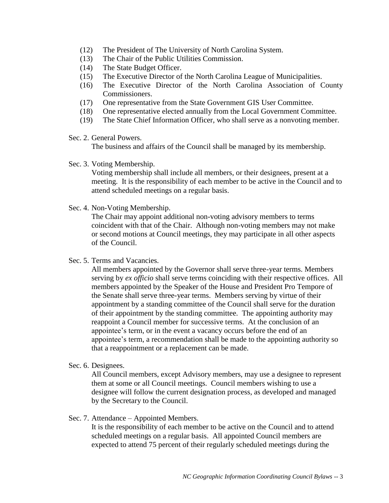- (12) The President of The University of North Carolina System.
- (13) The Chair of the Public Utilities Commission.
- (14) The State Budget Officer.
- (15) The Executive Director of the North Carolina League of Municipalities.
- (16) The Executive Director of the North Carolina Association of County Commissioners.
- (17) One representative from the State Government GIS User Committee.
- (18) One representative elected annually from the Local Government Committee.
- (19) The State Chief Information Officer, who shall serve as a nonvoting member.
- Sec. 2. General Powers.

The business and affairs of the Council shall be managed by its membership.

Sec. 3. Voting Membership.

Voting membership shall include all members, or their designees, present at a meeting. It is the responsibility of each member to be active in the Council and to attend scheduled meetings on a regular basis.

Sec. 4. Non-Voting Membership.

The Chair may appoint additional non-voting advisory members to terms coincident with that of the Chair. Although non-voting members may not make or second motions at Council meetings, they may participate in all other aspects of the Council.

Sec. 5. Terms and Vacancies.

All members appointed by the Governor shall serve three-year terms. Members serving by *ex officio* shall serve terms coinciding with their respective offices. All members appointed by the Speaker of the House and President Pro Tempore of the Senate shall serve three-year terms. Members serving by virtue of their appointment by a standing committee of the Council shall serve for the duration of their appointment by the standing committee. The appointing authority may reappoint a Council member for successive terms. At the conclusion of an appointee's term, or in the event a vacancy occurs before the end of an appointee's term, a recommendation shall be made to the appointing authority so that a reappointment or a replacement can be made.

Sec. 6. Designees.

All Council members, except Advisory members, may use a designee to represent them at some or all Council meetings. Council members wishing to use a designee will follow the current designation process, as developed and managed by the Secretary to the Council.

Sec. 7. Attendance – Appointed Members.

It is the responsibility of each member to be active on the Council and to attend scheduled meetings on a regular basis. All appointed Council members are expected to attend 75 percent of their regularly scheduled meetings during the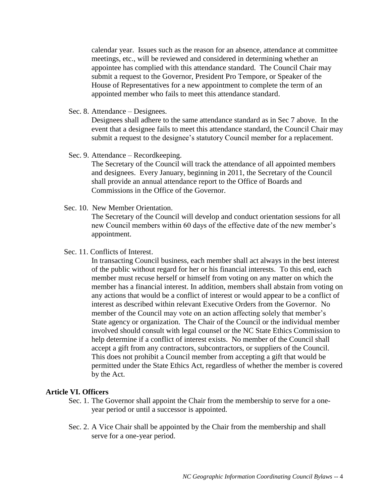calendar year. Issues such as the reason for an absence, attendance at committee meetings, etc., will be reviewed and considered in determining whether an appointee has complied with this attendance standard. The Council Chair may submit a request to the Governor, President Pro Tempore, or Speaker of the House of Representatives for a new appointment to complete the term of an appointed member who fails to meet this attendance standard.

Sec. 8. Attendance – Designees.

Designees shall adhere to the same attendance standard as in Sec 7 above. In the event that a designee fails to meet this attendance standard, the Council Chair may submit a request to the designee's statutory Council member for a replacement.

Sec. 9. Attendance – Recordkeeping.

The Secretary of the Council will track the attendance of all appointed members and designees. Every January, beginning in 2011, the Secretary of the Council shall provide an annual attendance report to the Office of Boards and Commissions in the Office of the Governor.

Sec. 10. New Member Orientation.

The Secretary of the Council will develop and conduct orientation sessions for all new Council members within 60 days of the effective date of the new member's appointment.

Sec. 11. Conflicts of Interest.

In transacting Council business, each member shall act always in the best interest of the public without regard for her or his financial interests. To this end, each member must recuse herself or himself from voting on any matter on which the member has a financial interest. In addition, members shall abstain from voting on any actions that would be a conflict of interest or would appear to be a conflict of interest as described within relevant Executive Orders from the Governor. No member of the Council may vote on an action affecting solely that member's State agency or organization. The Chair of the Council or the individual member involved should consult with legal counsel or the NC State Ethics Commission to help determine if a conflict of interest exists. No member of the Council shall accept a gift from any contractors, subcontractors, or suppliers of the Council. This does not prohibit a Council member from accepting a gift that would be permitted under the State Ethics Act, regardless of whether the member is covered by the Act.

# **Article VI. Officers**

- Sec. 1. The Governor shall appoint the Chair from the membership to serve for a oneyear period or until a successor is appointed.
- Sec. 2. A Vice Chair shall be appointed by the Chair from the membership and shall serve for a one-year period.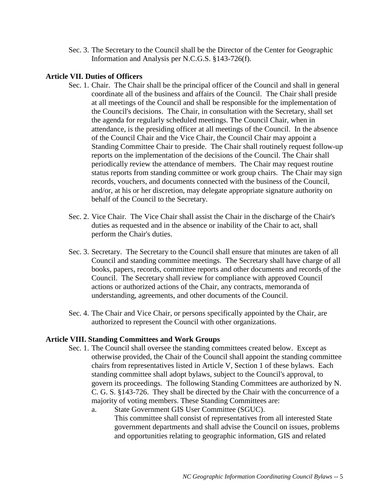Sec. 3. The Secretary to the Council shall be the Director of the Center for Geographic Information and Analysis per N.C.G.S. §143-726(f).

# **Article VII. Duties of Officers**

- Sec. 1. Chair. The Chair shall be the principal officer of the Council and shall in general coordinate all of the business and affairs of the Council. The Chair shall preside at all meetings of the Council and shall be responsible for the implementation of the Council's decisions. The Chair, in consultation with the Secretary, shall set the agenda for regularly scheduled meetings. The Council Chair, when in attendance, is the presiding officer at all meetings of the Council. In the absence of the Council Chair and the Vice Chair, the Council Chair may appoint a Standing Committee Chair to preside. The Chair shall routinely request follow-up reports on the implementation of the decisions of the Council. The Chair shall periodically review the attendance of members. The Chair may request routine status reports from standing committee or work group chairs. The Chair may sign records, vouchers, and documents connected with the business of the Council, and/or, at his or her discretion, may delegate appropriate signature authority on behalf of the Council to the Secretary.
- Sec. 2. Vice Chair. The Vice Chair shall assist the Chair in the discharge of the Chair's duties as requested and in the absence or inability of the Chair to act, shall perform the Chair's duties.
- Sec. 3. Secretary. The Secretary to the Council shall ensure that minutes are taken of all Council and standing committee meetings. The Secretary shall have charge of all books, papers, records, committee reports and other documents and records of the Council. The Secretary shall review for compliance with approved Council actions or authorized actions of the Chair, any contracts, memoranda of understanding, agreements, and other documents of the Council.
- Sec. 4. The Chair and Vice Chair, or persons specifically appointed by the Chair, are authorized to represent the Council with other organizations.

# **Article VIII. Standing Committees and Work Groups**

- Sec. 1. The Council shall oversee the standing committees created below. Except as otherwise provided, the Chair of the Council shall appoint the standing committee chairs from representatives listed in Article V, Section 1 of these bylaws. Each standing committee shall adopt bylaws, subject to the Council's approval, to govern its proceedings. The following Standing Committees are authorized by N. C. G. S. §143-726. They shall be directed by the Chair with the concurrence of a majority of voting members. These Standing Committees are:
	- a. State Government GIS User Committee (SGUC). This committee shall consist of representatives from all interested State government departments and shall advise the Council on issues, problems and opportunities relating to geographic information, GIS and related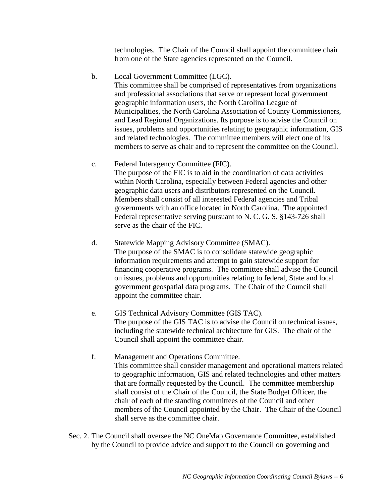technologies. The Chair of the Council shall appoint the committee chair from one of the State agencies represented on the Council.

b. Local Government Committee (LGC).

This committee shall be comprised of representatives from organizations and professional associations that serve or represent local government geographic information users, the North Carolina League of Municipalities, the North Carolina Association of County Commissioners, and Lead Regional Organizations. Its purpose is to advise the Council on issues, problems and opportunities relating to geographic information, GIS and related technologies. The committee members will elect one of its members to serve as chair and to represent the committee on the Council.

c. Federal Interagency Committee (FIC).

The purpose of the FIC is to aid in the coordination of data activities within North Carolina, especially between Federal agencies and other geographic data users and distributors represented on the Council. Members shall consist of all interested Federal agencies and Tribal governments with an office located in North Carolina. The appointed Federal representative serving pursuant to N. C. G. S. §143-726 shall serve as the chair of the FIC.

- d. Statewide Mapping Advisory Committee (SMAC). The purpose of the SMAC is to consolidate statewide geographic information requirements and attempt to gain statewide support for financing cooperative programs. The committee shall advise the Council on issues, problems and opportunities relating to federal, State and local government geospatial data programs. The Chair of the Council shall appoint the committee chair.
- e. GIS Technical Advisory Committee (GIS TAC). The purpose of the GIS TAC is to advise the Council on technical issues, including the statewide technical architecture for GIS. The chair of the Council shall appoint the committee chair.
- f. Management and Operations Committee. This committee shall consider management and operational matters related to geographic information, GIS and related technologies and other matters that are formally requested by the Council. The committee membership shall consist of the Chair of the Council, the State Budget Officer, the chair of each of the standing committees of the Council and other members of the Council appointed by the Chair. The Chair of the Council shall serve as the committee chair.
- Sec. 2. The Council shall oversee the NC OneMap Governance Committee, established by the Council to provide advice and support to the Council on governing and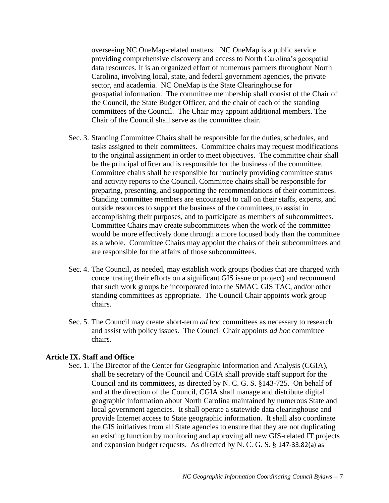overseeing NC OneMap-related matters. NC OneMap is a public service providing comprehensive discovery and access to North Carolina's geospatial data resources. It is an organized effort of numerous partners throughout North Carolina, involving local, state, and federal government agencies, the private sector, and academia. NC OneMap is the State Clearinghouse for geospatial information. The committee membership shall consist of the Chair of the Council, the State Budget Officer, and the chair of each of the standing committees of the Council. The Chair may appoint additional members. The Chair of the Council shall serve as the committee chair.

- Sec. 3. Standing Committee Chairs shall be responsible for the duties, schedules, and tasks assigned to their committees. Committee chairs may request modifications to the original assignment in order to meet objectives. The committee chair shall be the principal officer and is responsible for the business of the committee. Committee chairs shall be responsible for routinely providing committee status and activity reports to the Council. Committee chairs shall be responsible for preparing, presenting, and supporting the recommendations of their committees. Standing committee members are encouraged to call on their staffs, experts, and outside resources to support the business of the committees, to assist in accomplishing their purposes, and to participate as members of subcommittees. Committee Chairs may create subcommittees when the work of the committee would be more effectively done through a more focused body than the committee as a whole. Committee Chairs may appoint the chairs of their subcommittees and are responsible for the affairs of those subcommittees.
- Sec. 4. The Council, as needed, may establish work groups (bodies that are charged with concentrating their efforts on a significant GIS issue or project) and recommend that such work groups be incorporated into the SMAC, GIS TAC, and/or other standing committees as appropriate. The Council Chair appoints work group chairs.
- Sec. 5. The Council may create short-term *ad hoc* committees as necessary to research and assist with policy issues. The Council Chair appoints *ad hoc* committee chairs.

#### **Article IX. Staff and Office**

Sec. 1. The Director of the Center for Geographic Information and Analysis (CGIA), shall be secretary of the Council and CGIA shall provide staff support for the Council and its committees, as directed by N. C. G. S. §143-725. On behalf of and at the direction of the Council, CGIA shall manage and distribute digital geographic information about North Carolina maintained by numerous State and local government agencies. It shall operate a statewide data clearinghouse and provide Internet access to State geographic information. It shall also coordinate the GIS initiatives from all State agencies to ensure that they are not duplicating an existing function by monitoring and approving all new GIS-related IT projects and expansion budget requests. As directed by N. C. G. S. § 147-33.82(a) as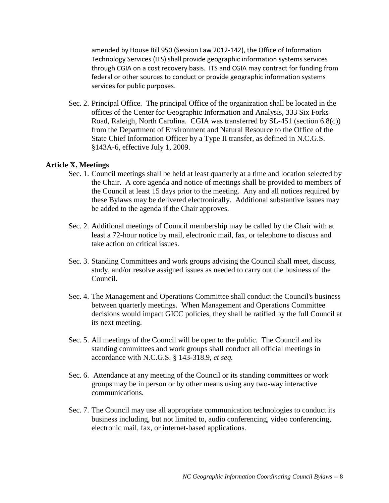amended by House Bill 950 (Session Law 2012-142), the Office of Information Technology Services (ITS) shall provide geographic information systems services through CGIA on a cost recovery basis. ITS and CGIA may contract for funding from federal or other sources to conduct or provide geographic information systems services for public purposes.

Sec. 2. Principal Office. The principal Office of the organization shall be located in the offices of the Center for Geographic Information and Analysis, 333 Six Forks Road, Raleigh, North Carolina. CGIA was transferred by SL-451 (section 6.8(c)) from the Department of Environment and Natural Resource to the Office of the State Chief Information Officer by a Type II transfer, as defined in N.C.G.S. §143A-6, effective July 1, 2009.

#### **Article X. Meetings**

- Sec. 1. Council meetings shall be held at least quarterly at a time and location selected by the Chair. A core agenda and notice of meetings shall be provided to members of the Council at least 15 days prior to the meeting. Any and all notices required by these Bylaws may be delivered electronically. Additional substantive issues may be added to the agenda if the Chair approves.
- Sec. 2. Additional meetings of Council membership may be called by the Chair with at least a 72-hour notice by mail, electronic mail, fax, or telephone to discuss and take action on critical issues.
- Sec. 3. Standing Committees and work groups advising the Council shall meet, discuss, study, and/or resolve assigned issues as needed to carry out the business of the Council.
- Sec. 4. The Management and Operations Committee shall conduct the Council's business between quarterly meetings. When Management and Operations Committee decisions would impact GICC policies, they shall be ratified by the full Council at its next meeting.
- Sec. 5. All meetings of the Council will be open to the public. The Council and its standing committees and work groups shall conduct all official meetings in accordance with N.C.G.S. § 143-318.9, *et seq.*
- Sec. 6. Attendance at any meeting of the Council or its standing committees or work groups may be in person or by other means using any two-way interactive communications.
- Sec. 7. The Council may use all appropriate communication technologies to conduct its business including, but not limited to, audio conferencing, video conferencing, electronic mail, fax, or internet-based applications.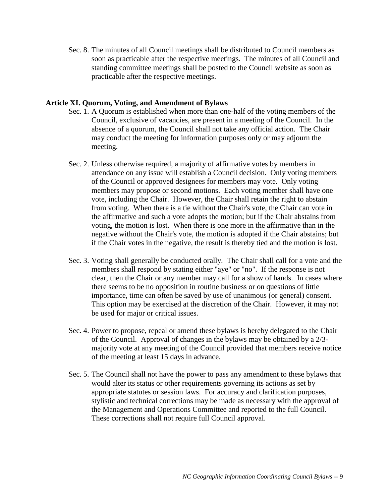Sec. 8. The minutes of all Council meetings shall be distributed to Council members as soon as practicable after the respective meetings. The minutes of all Council and standing committee meetings shall be posted to the Council website as soon as practicable after the respective meetings.

#### **Article XI. Quorum, Voting, and Amendment of Bylaws**

- Sec. 1. A Quorum is established when more than one-half of the voting members of the Council, exclusive of vacancies, are present in a meeting of the Council. In the absence of a quorum, the Council shall not take any official action. The Chair may conduct the meeting for information purposes only or may adjourn the meeting.
- Sec. 2. Unless otherwise required, a majority of affirmative votes by members in attendance on any issue will establish a Council decision. Only voting members of the Council or approved designees for members may vote. Only voting members may propose or second motions. Each voting member shall have one vote, including the Chair. However, the Chair shall retain the right to abstain from voting. When there is a tie without the Chair's vote, the Chair can vote in the affirmative and such a vote adopts the motion; but if the Chair abstains from voting, the motion is lost. When there is one more in the affirmative than in the negative without the Chair's vote, the motion is adopted if the Chair abstains; but if the Chair votes in the negative, the result is thereby tied and the motion is lost.
- Sec. 3. Voting shall generally be conducted orally. The Chair shall call for a vote and the members shall respond by stating either "aye" or "no". If the response is not clear, then the Chair or any member may call for a show of hands. In cases where there seems to be no opposition in routine business or on questions of little importance, time can often be saved by use of unanimous (or general) consent. This option may be exercised at the discretion of the Chair. However, it may not be used for major or critical issues.
- Sec. 4. Power to propose, repeal or amend these bylaws is hereby delegated to the Chair of the Council. Approval of changes in the bylaws may be obtained by a 2/3 majority vote at any meeting of the Council provided that members receive notice of the meeting at least 15 days in advance.
- Sec. 5. The Council shall not have the power to pass any amendment to these bylaws that would alter its status or other requirements governing its actions as set by appropriate statutes or session laws. For accuracy and clarification purposes, stylistic and technical corrections may be made as necessary with the approval of the Management and Operations Committee and reported to the full Council. These corrections shall not require full Council approval.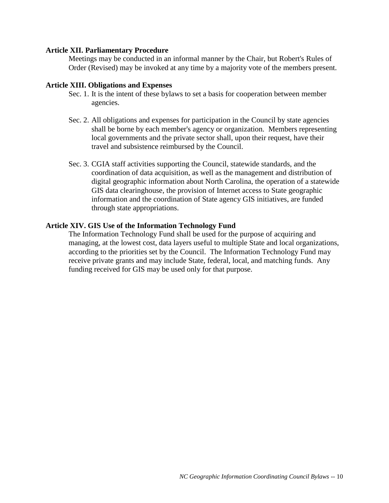#### **Article XII. Parliamentary Procedure**

Meetings may be conducted in an informal manner by the Chair, but Robert's Rules of Order (Revised) may be invoked at any time by a majority vote of the members present.

#### **Article XIII. Obligations and Expenses**

- Sec. 1. It is the intent of these bylaws to set a basis for cooperation between member agencies.
- Sec. 2. All obligations and expenses for participation in the Council by state agencies shall be borne by each member's agency or organization. Members representing local governments and the private sector shall, upon their request, have their travel and subsistence reimbursed by the Council.
- Sec. 3. CGIA staff activities supporting the Council, statewide standards, and the coordination of data acquisition, as well as the management and distribution of digital geographic information about North Carolina, the operation of a statewide GIS data clearinghouse, the provision of Internet access to State geographic information and the coordination of State agency GIS initiatives, are funded through state appropriations.

#### **Article XIV. GIS Use of the Information Technology Fund**

The Information Technology Fund shall be used for the purpose of acquiring and managing, at the lowest cost, data layers useful to multiple State and local organizations, according to the priorities set by the Council. The Information Technology Fund may receive private grants and may include State, federal, local, and matching funds. Any funding received for GIS may be used only for that purpose.